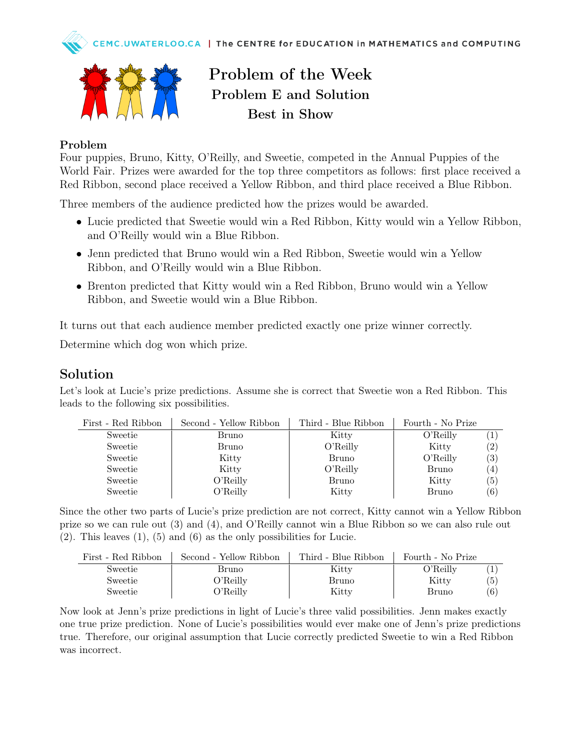



Problem of the Week Problem E and Solution Best in Show

## Problem

Four puppies, Bruno, Kitty, O'Reilly, and Sweetie, competed in the Annual Puppies of the World Fair. Prizes were awarded for the top three competitors as follows: first place received a Red Ribbon, second place received a Yellow Ribbon, and third place received a Blue Ribbon.

Three members of the audience predicted how the prizes would be awarded.

- Lucie predicted that Sweetie would win a Red Ribbon, Kitty would win a Yellow Ribbon, and O'Reilly would win a Blue Ribbon.
- Jenn predicted that Bruno would win a Red Ribbon, Sweetie would win a Yellow Ribbon, and O'Reilly would win a Blue Ribbon.
- Brenton predicted that Kitty would win a Red Ribbon, Bruno would win a Yellow Ribbon, and Sweetie would win a Blue Ribbon.

It turns out that each audience member predicted exactly one prize winner correctly.

Determine which dog won which prize.

## Solution

Let's look at Lucie's prize predictions. Assume she is correct that Sweetie won a Red Ribbon. This leads to the following six possibilities.

| First - Red Ribbon | Second - Yellow Ribbon | Third - Blue Ribbon | Fourth - No Prize |                   |
|--------------------|------------------------|---------------------|-------------------|-------------------|
| Sweetie            | Bruno                  | Kitty               | O'Relily          |                   |
| Sweetie            | Bruno                  | O'Relily            | Kitty             | $\left( 2\right)$ |
| Sweetie            | Kitty                  | Bruno               | O'Relily          | (3)               |
| Sweetie            | Kitty                  | O'Relily            | Bruno             | $\left( 4\right)$ |
| Sweetie            | O'Relily               | Bruno               | Kitty             | $\left(5\right)$  |
| Sweetie            | O'Relily               | Kitty               | Bruno             | (6)               |

Since the other two parts of Lucie's prize prediction are not correct, Kitty cannot win a Yellow Ribbon prize so we can rule out (3) and (4), and O'Reilly cannot win a Blue Ribbon so we can also rule out  $(2)$ . This leaves  $(1)$ ,  $(5)$  and  $(6)$  as the only possibilities for Lucie.

| First - Red Ribbon | Second - Yellow Ribbon | Third - Blue Ribbon | Fourth - No Prize |     |
|--------------------|------------------------|---------------------|-------------------|-----|
| Sweetie            | Bruno                  | Kitty               | O'Relily          |     |
| Sweetie            | O'Relily               | Bruno               | Kitty             | (5) |
| Sweetie            | O'Reilly               | Kitty               | Bruno             | (6) |

Now look at Jenn's prize predictions in light of Lucie's three valid possibilities. Jenn makes exactly one true prize prediction. None of Lucie's possibilities would ever make one of Jenn's prize predictions true. Therefore, our original assumption that Lucie correctly predicted Sweetie to win a Red Ribbon was incorrect.